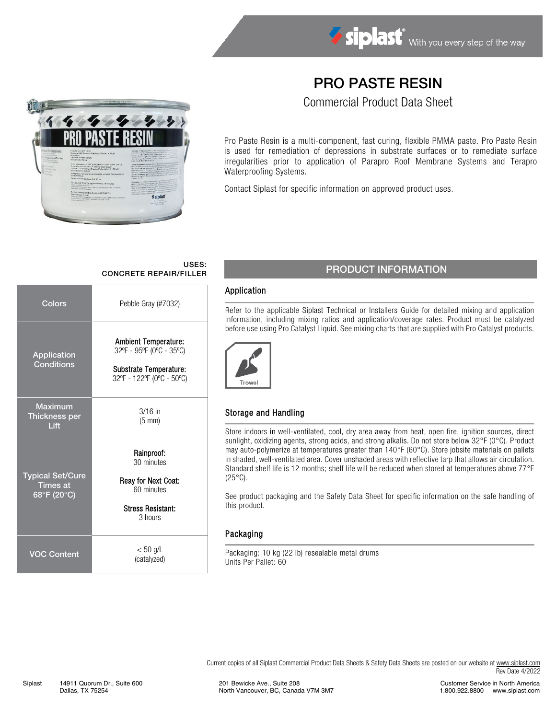## PRO PASTE RESIN

Commercial Product Data Sheet



Pro Paste Resin is a multi-component, fast curing, flexible PMMA paste. Pro Paste Resin is used for remediation of depressions in substrate surfaces or to remediate surface irregularities prior to application of Parapro Roof Membrane Systems and Terapro Waterproofing Systems.

Contact Siplast for specific information on approved product uses.

# USES:

| Colors                                                    | Pebble Gray (#7032)                                                                                            |  |  |  |
|-----------------------------------------------------------|----------------------------------------------------------------------------------------------------------------|--|--|--|
| Application<br><b>Conditions</b>                          | <b>Ambient Temperature:</b><br>32°F - 95°F (0°C - 35°C)<br>Substrate Temperature:<br>32°F - 122°F (0°C - 50°C) |  |  |  |
| <b>Maximum</b><br><b>Thickness per</b><br>Lift            | $3/16$ in<br>$(5 \text{ mm})$                                                                                  |  |  |  |
| <b>Typical Set/Cure</b><br><b>Times at</b><br>68°F (20°C) | Rainproof:<br>30 minutes<br>Reay for Next Coat:<br>60 minutes<br><b>Stress Resistant:</b><br>3 hours           |  |  |  |
| <b>VOC Content</b>                                        | $< 50$ g/L<br>(catalyzed)                                                                                      |  |  |  |

## USES:<br>CONCRETE REPAIR/FILLER PRODUCT INFORMATION

#### Application

Refer to the applicable Siplast Technical or Installers Guide for detailed mixing and application information, including mixing ratios and application/coverage rates. Product must be catalyzed before use using Pro Catalyst Liquid. See mixing charts that are supplied with Pro Catalyst products.



#### Storage and Handling

Store indoors in well-ventilated, cool, dry area away from heat, open fire, ignition sources, direct sunlight, oxidizing agents, strong acids, and strong alkalis. Do not store below 32°F (0°C). Product may auto-polymerize at temperatures greater than 140°F (60°C). Store jobsite materials on pallets in shaded, well-ventilated area. Cover unshaded areas with reflective tarp that allows air circulation. Standard shelf life is 12 months; shelf life will be reduced when stored at temperatures above 77°F  $(25^{\circ}C)$ .

See product packaging and the Safety Data Sheet for specific information on the safe handling of this product.

#### Packaging

Packaging: 10 kg (22 lb) resealable metal drums Units Per Pallet: 60

Current copies of all Siplast Commercial Product Data Sheets & Safety Data Sheets are posted on our website a[t www.siplast.com](http://www.siplast.com/) Rev Date 4/2022